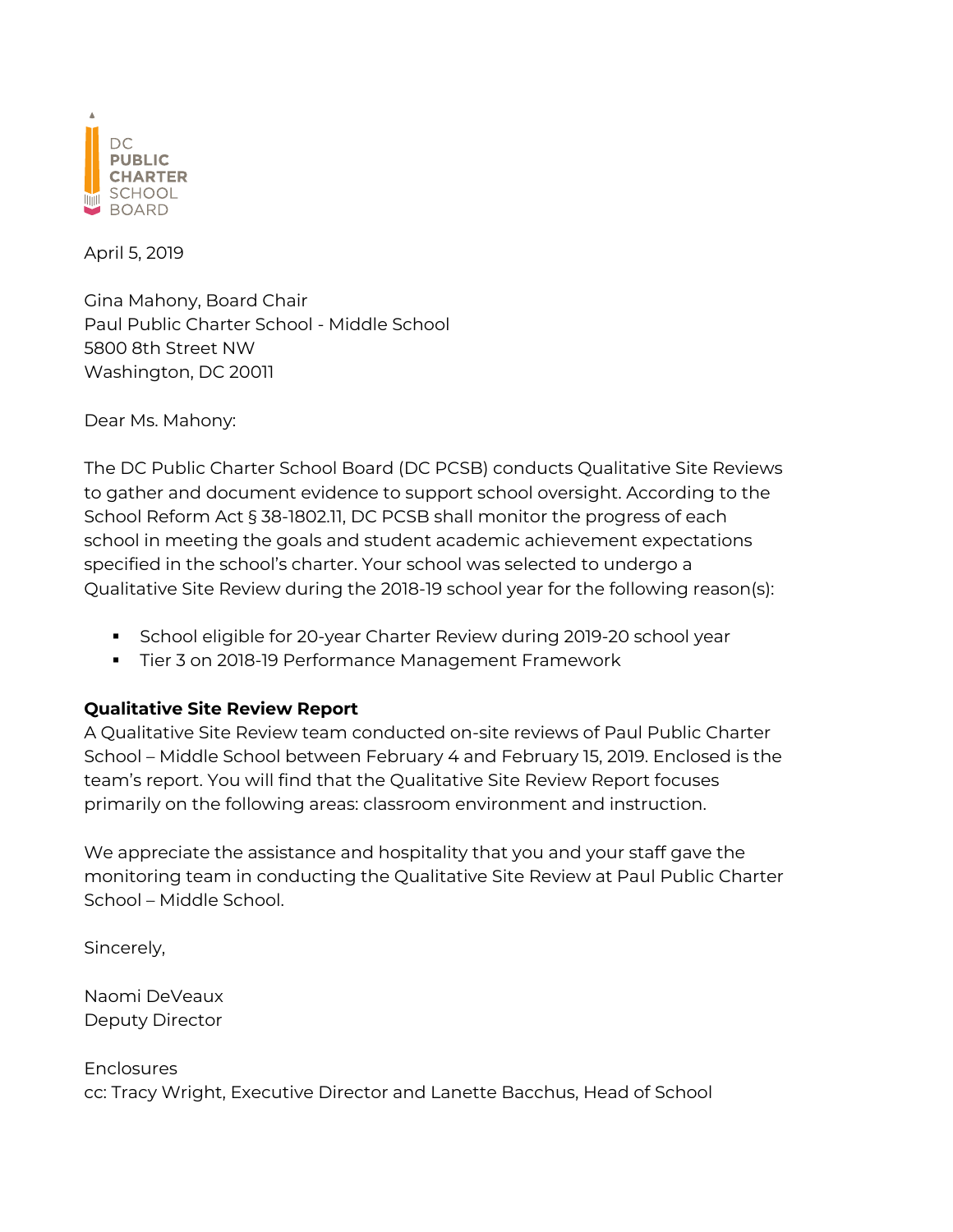

April 5, 2019

Gina Mahony, Board Chair Paul Public Charter School - Middle School 5800 8th Street NW Washington, DC 20011

Dear Ms. Mahony:

The DC Public Charter School Board (DC PCSB) conducts Qualitative Site Reviews to gather and document evidence to support school oversight. According to the School Reform Act § 38-1802.11, DC PCSB shall monitor the progress of each school in meeting the goals and student academic achievement expectations specified in the school's charter. Your school was selected to undergo a Qualitative Site Review during the 2018-19 school year for the following reason(s):

- § School eligible for 20-year Charter Review during 2019-20 school year
- Tier 3 on 2018-19 Performance Management Framework

### **Qualitative Site Review Report**

A Qualitative Site Review team conducted on-site reviews of Paul Public Charter School – Middle School between February 4 and February 15, 2019. Enclosed is the team's report. You will find that the Qualitative Site Review Report focuses primarily on the following areas: classroom environment and instruction.

We appreciate the assistance and hospitality that you and your staff gave the monitoring team in conducting the Qualitative Site Review at Paul Public Charter School – Middle School.

Sincerely,

Naomi DeVeaux Deputy Director

**Enclosures** cc: Tracy Wright, Executive Director and Lanette Bacchus, Head of School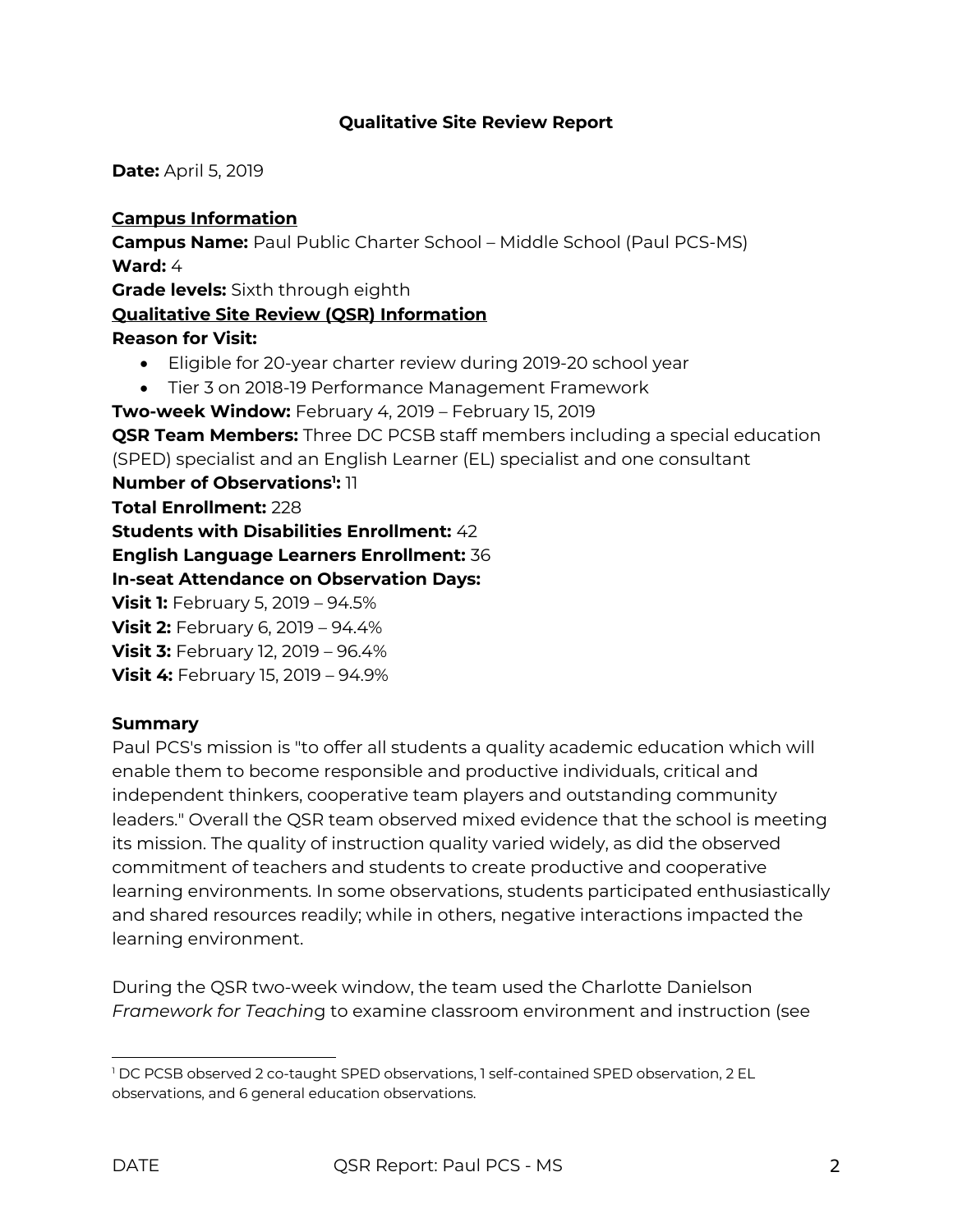### **Qualitative Site Review Report**

**Date:** April 5, 2019

**Campus Information Campus Name:** Paul Public Charter School – Middle School (Paul PCS-MS) **Ward:** 4 **Grade levels:** Sixth through eighth **Qualitative Site Review (QSR) Information Reason for Visit:** • Eligible for 20-year charter review during 2019-20 school year • Tier 3 on 2018-19 Performance Management Framework **Two-week Window:** February 4, 2019 – February 15, 2019 **QSR Team Members:** Three DC PCSB staff members including a special education (SPED) specialist and an English Learner (EL) specialist and one consultant **Number of Observations<sup>1</sup>: 11 Total Enrollment:** 228 **Students with Disabilities Enrollment:** 42 **English Language Learners Enrollment:** 36 **In-seat Attendance on Observation Days: Visit 1:** February 5, 2019 – 94.5% **Visit 2:** February 6, 2019 – 94.4% **Visit 3:** February 12, 2019 – 96.4% **Visit 4:** February 15, 2019 – 94.9%

#### **Summary**

Paul PCS's mission is "to offer all students a quality academic education which will enable them to become responsible and productive individuals, critical and independent thinkers, cooperative team players and outstanding community leaders." Overall the QSR team observed mixed evidence that the school is meeting its mission. The quality of instruction quality varied widely, as did the observed commitment of teachers and students to create productive and cooperative learning environments. In some observations, students participated enthusiastically and shared resources readily; while in others, negative interactions impacted the learning environment.

During the QSR two-week window, the team used the Charlotte Danielson *Framework for Teachin*g to examine classroom environment and instruction (see

 

<sup>1</sup> DC PCSB observed 2 co-taught SPED observations, 1 self-contained SPED observation, 2 EL observations, and 6 general education observations.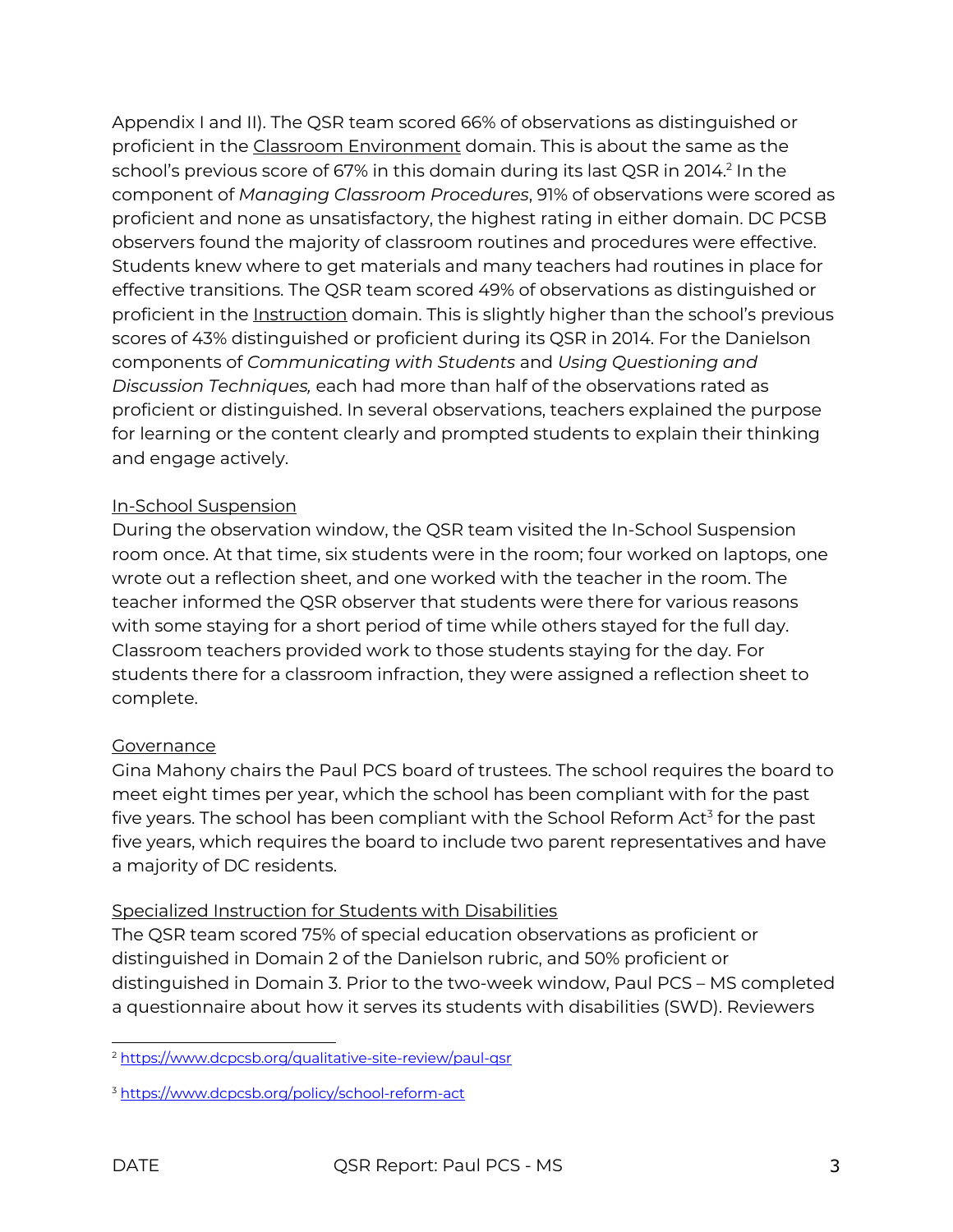Appendix I and II). The QSR team scored 66% of observations as distinguished or proficient in the Classroom Environment domain. This is about the same as the school's previous score of 67% in this domain during its last QSR in 2014. <sup>2</sup> In the component of *Managing Classroom Procedures*, 91% of observations were scored as proficient and none as unsatisfactory, the highest rating in either domain. DC PCSB observers found the majority of classroom routines and procedures were effective. Students knew where to get materials and many teachers had routines in place for effective transitions. The QSR team scored 49% of observations as distinguished or proficient in the **Instruction** domain. This is slightly higher than the school's previous scores of 43% distinguished or proficient during its QSR in 2014. For the Danielson components of *Communicating with Students* and *Using Questioning and Discussion Techniques,* each had more than half of the observations rated as proficient or distinguished. In several observations, teachers explained the purpose for learning or the content clearly and prompted students to explain their thinking and engage actively.

### In-School Suspension

During the observation window, the QSR team visited the In-School Suspension room once. At that time, six students were in the room; four worked on laptops, one wrote out a reflection sheet, and one worked with the teacher in the room. The teacher informed the QSR observer that students were there for various reasons with some staying for a short period of time while others stayed for the full day. Classroom teachers provided work to those students staying for the day. For students there for a classroom infraction, they were assigned a reflection sheet to complete.

### **Governance**

Gina Mahony chairs the Paul PCS board of trustees. The school requires the board to meet eight times per year, which the school has been compliant with for the past five years. The school has been compliant with the School Reform Act<sup>3</sup> for the past five years, which requires the board to include two parent representatives and have a majority of DC residents.

### Specialized Instruction for Students with Disabilities

The QSR team scored 75% of special education observations as proficient or distinguished in Domain 2 of the Danielson rubric, and 50% proficient or distinguished in Domain 3. Prior to the two-week window, Paul PCS – MS completed a questionnaire about how it serves its students with disabilities (SWD). Reviewers

 <sup>2</sup> https://www.dcpcsb.org/qualitative-site-review/paul-gsr

<sup>3</sup> https://www.dcpcsb.org/policy/school-reform-act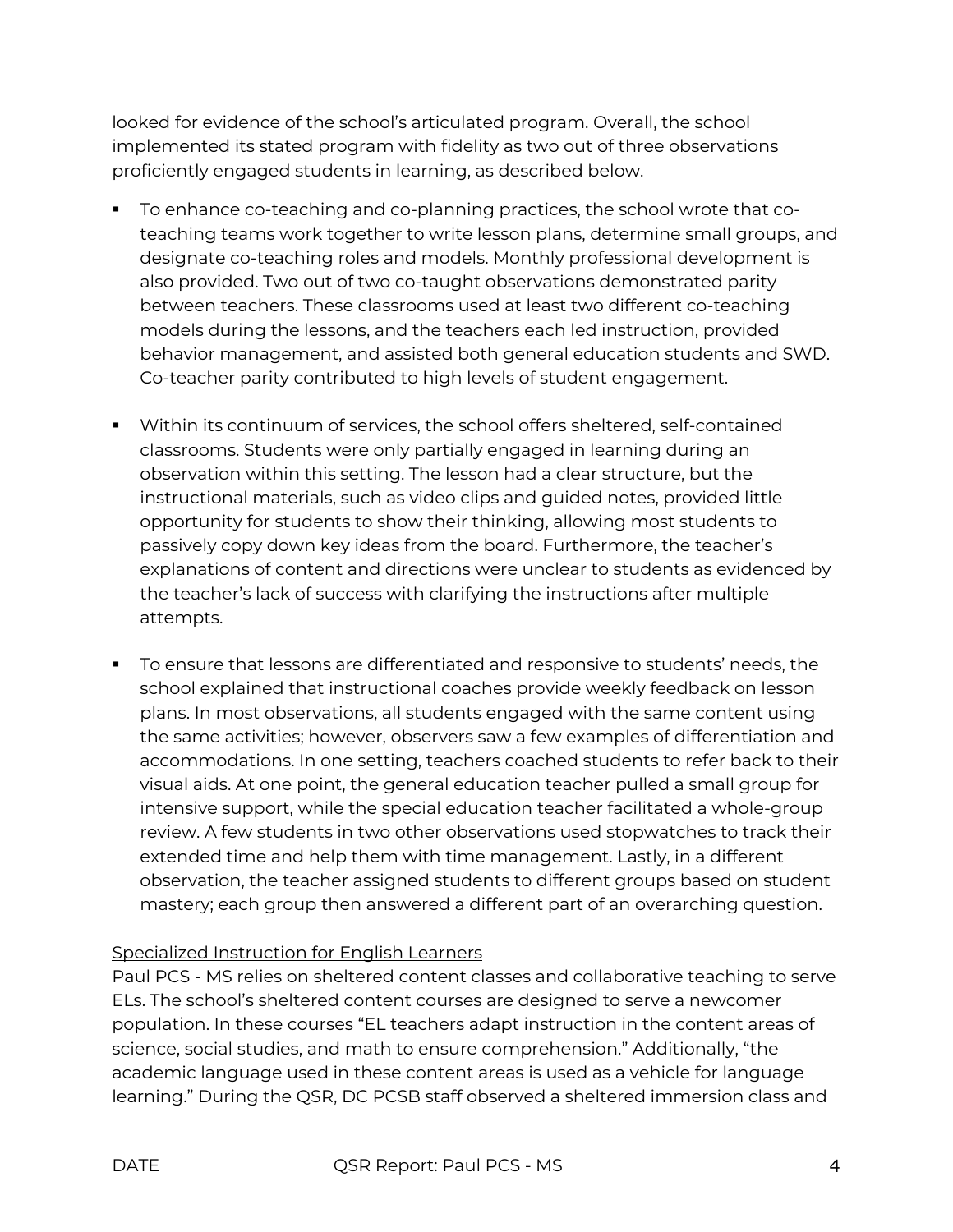looked for evidence of the school's articulated program. Overall, the school implemented its stated program with fidelity as two out of three observations proficiently engaged students in learning, as described below.

- § To enhance co-teaching and co-planning practices, the school wrote that coteaching teams work together to write lesson plans, determine small groups, and designate co-teaching roles and models. Monthly professional development is also provided. Two out of two co-taught observations demonstrated parity between teachers. These classrooms used at least two different co-teaching models during the lessons, and the teachers each led instruction, provided behavior management, and assisted both general education students and SWD. Co-teacher parity contributed to high levels of student engagement.
- § Within its continuum of services, the school offers sheltered, self-contained classrooms. Students were only partially engaged in learning during an observation within this setting. The lesson had a clear structure, but the instructional materials, such as video clips and guided notes, provided little opportunity for students to show their thinking, allowing most students to passively copy down key ideas from the board. Furthermore, the teacher's explanations of content and directions were unclear to students as evidenced by the teacher's lack of success with clarifying the instructions after multiple attempts.
- § To ensure that lessons are differentiated and responsive to students' needs, the school explained that instructional coaches provide weekly feedback on lesson plans. In most observations, all students engaged with the same content using the same activities; however, observers saw a few examples of differentiation and accommodations. In one setting, teachers coached students to refer back to their visual aids. At one point, the general education teacher pulled a small group for intensive support, while the special education teacher facilitated a whole-group review. A few students in two other observations used stopwatches to track their extended time and help them with time management. Lastly, in a different observation, the teacher assigned students to different groups based on student mastery; each group then answered a different part of an overarching question.

### Specialized Instruction for English Learners

Paul PCS - MS relies on sheltered content classes and collaborative teaching to serve ELs. The school's sheltered content courses are designed to serve a newcomer population. In these courses "EL teachers adapt instruction in the content areas of science, social studies, and math to ensure comprehension." Additionally, "the academic language used in these content areas is used as a vehicle for language learning." During the QSR, DC PCSB staff observed a sheltered immersion class and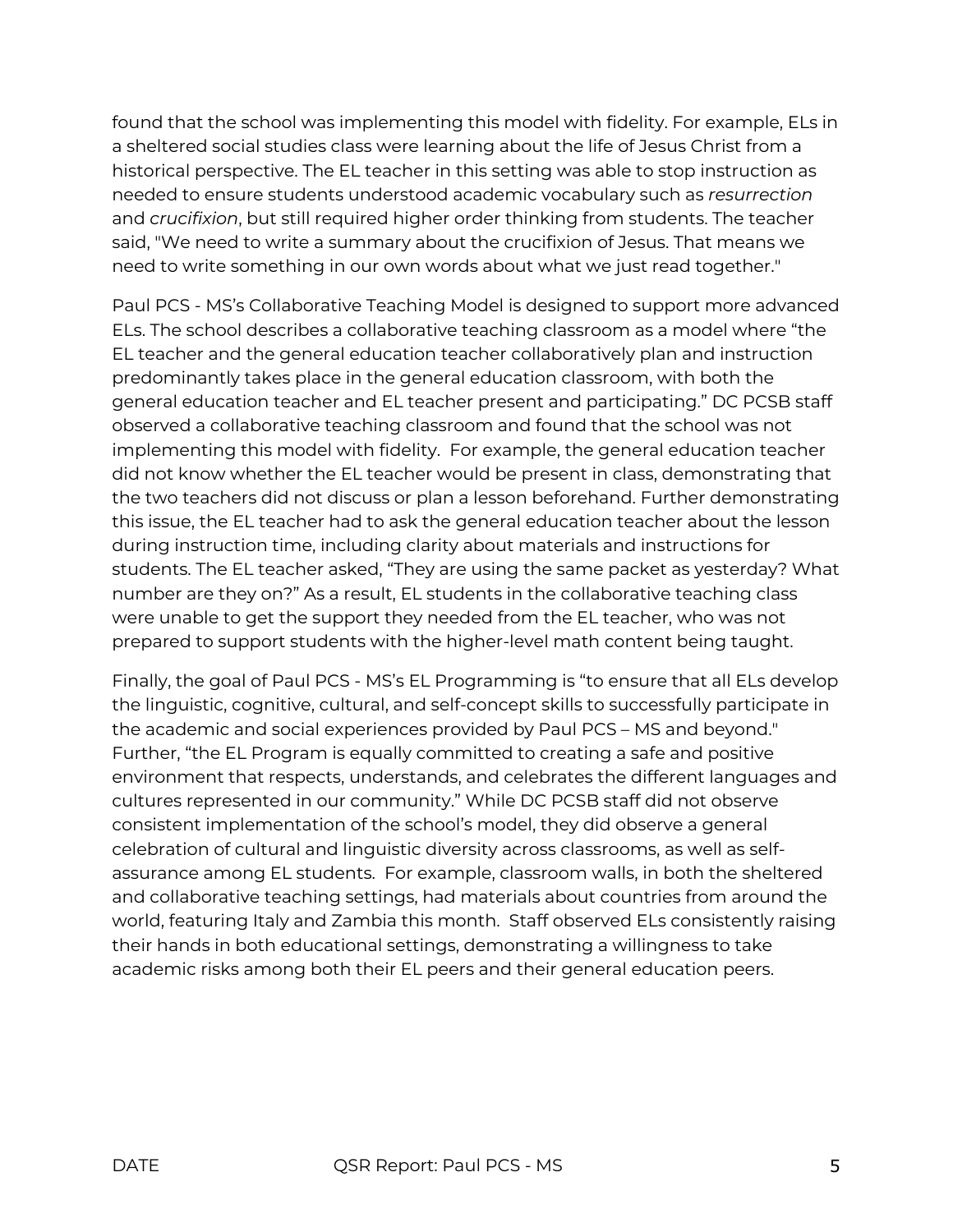found that the school was implementing this model with fidelity. For example, ELs in a sheltered social studies class were learning about the life of Jesus Christ from a historical perspective. The EL teacher in this setting was able to stop instruction as needed to ensure students understood academic vocabulary such as *resurrection* and *crucifixion*, but still required higher order thinking from students. The teacher said, "We need to write a summary about the crucifixion of Jesus. That means we need to write something in our own words about what we just read together."

Paul PCS - MS's Collaborative Teaching Model is designed to support more advanced ELs. The school describes a collaborative teaching classroom as a model where "the EL teacher and the general education teacher collaboratively plan and instruction predominantly takes place in the general education classroom, with both the general education teacher and EL teacher present and participating." DC PCSB staff observed a collaborative teaching classroom and found that the school was not implementing this model with fidelity. For example, the general education teacher did not know whether the EL teacher would be present in class, demonstrating that the two teachers did not discuss or plan a lesson beforehand. Further demonstrating this issue, the EL teacher had to ask the general education teacher about the lesson during instruction time, including clarity about materials and instructions for students. The EL teacher asked, "They are using the same packet as yesterday? What number are they on?" As a result, EL students in the collaborative teaching class were unable to get the support they needed from the EL teacher, who was not prepared to support students with the higher-level math content being taught.

Finally, the goal of Paul PCS - MS's EL Programming is "to ensure that all ELs develop the linguistic, cognitive, cultural, and self-concept skills to successfully participate in the academic and social experiences provided by Paul PCS – MS and beyond." Further, "the EL Program is equally committed to creating a safe and positive environment that respects, understands, and celebrates the different languages and cultures represented in our community." While DC PCSB staff did not observe consistent implementation of the school's model, they did observe a general celebration of cultural and linguistic diversity across classrooms, as well as selfassurance among EL students. For example, classroom walls, in both the sheltered and collaborative teaching settings, had materials about countries from around the world, featuring Italy and Zambia this month. Staff observed ELs consistently raising their hands in both educational settings, demonstrating a willingness to take academic risks among both their EL peers and their general education peers.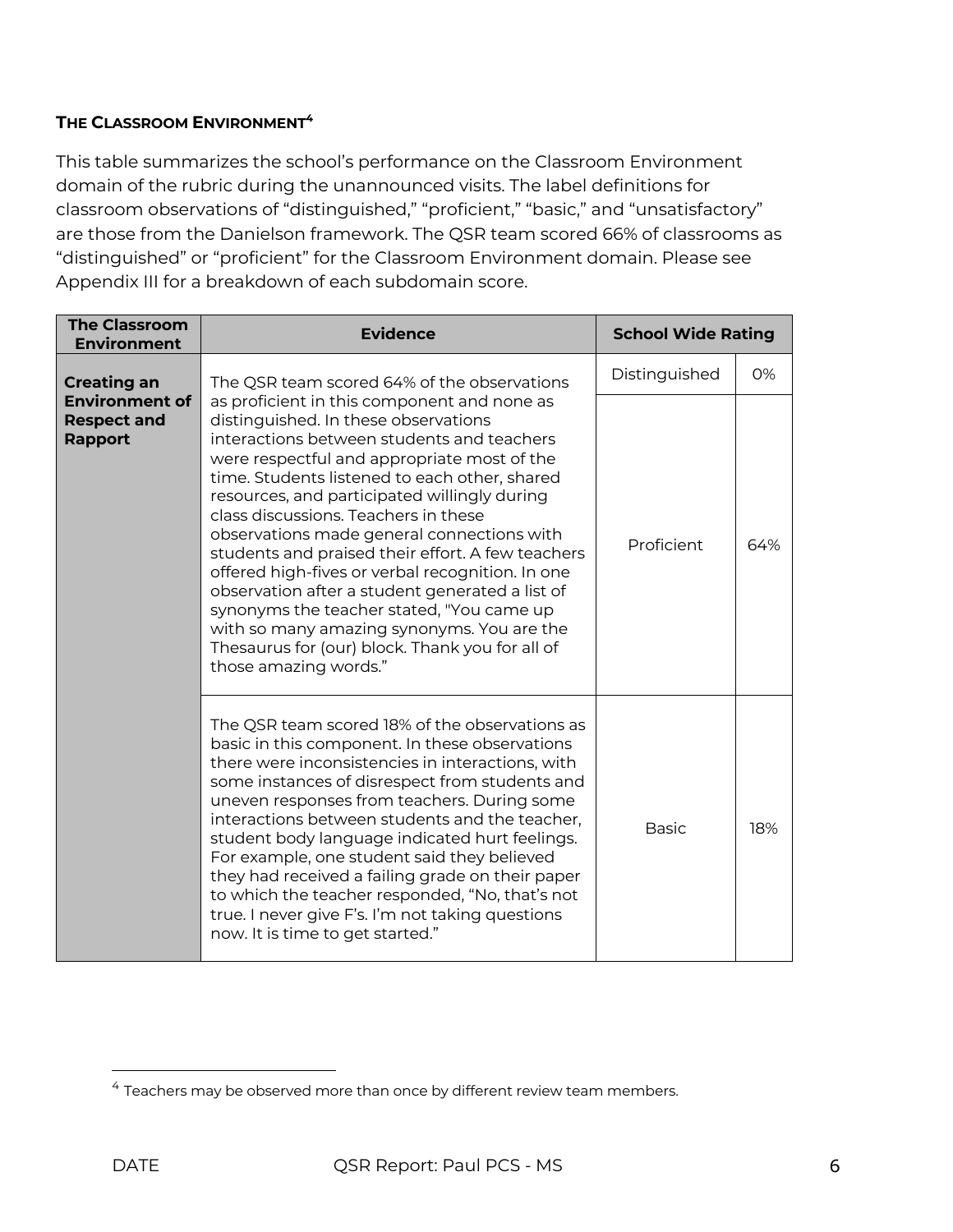### **THE CLASSROOM ENVIRONMENT4**

This table summarizes the school's performance on the Classroom Environment domain of the rubric during the unannounced visits. The label definitions for classroom observations of "distinguished," "proficient," "basic," and "unsatisfactory" are those from the Danielson framework. The QSR team scored 66% of classrooms as "distinguished" or "proficient" for the Classroom Environment domain. Please see Appendix III for a breakdown of each subdomain score.

| <b>The Classroom</b><br><b>Environment</b>                    | <b>Evidence</b>                                                                                                                                                                                                                                                                                                                                                                                                                                                                                                                                                                                                                                                                                            | <b>School Wide Rating</b> |     |
|---------------------------------------------------------------|------------------------------------------------------------------------------------------------------------------------------------------------------------------------------------------------------------------------------------------------------------------------------------------------------------------------------------------------------------------------------------------------------------------------------------------------------------------------------------------------------------------------------------------------------------------------------------------------------------------------------------------------------------------------------------------------------------|---------------------------|-----|
| <b>Creating an</b>                                            | The QSR team scored 64% of the observations                                                                                                                                                                                                                                                                                                                                                                                                                                                                                                                                                                                                                                                                | Distinguished             | 0%  |
| <b>Environment of</b><br><b>Respect and</b><br><b>Rapport</b> | as proficient in this component and none as<br>distinguished. In these observations<br>interactions between students and teachers<br>were respectful and appropriate most of the<br>time. Students listened to each other, shared<br>resources, and participated willingly during<br>class discussions. Teachers in these<br>observations made general connections with<br>students and praised their effort. A few teachers<br>offered high-fives or verbal recognition. In one<br>observation after a student generated a list of<br>synonyms the teacher stated, "You came up<br>with so many amazing synonyms. You are the<br>Thesaurus for (our) block. Thank you for all of<br>those amazing words." |                           | 64% |
|                                                               | The QSR team scored 18% of the observations as<br>basic in this component. In these observations<br>there were inconsistencies in interactions, with<br>some instances of disrespect from students and<br>uneven responses from teachers. During some<br>interactions between students and the teacher,<br>student body language indicated hurt feelings.<br>For example, one student said they believed<br>they had received a failing grade on their paper<br>to which the teacher responded, "No, that's not<br>true. I never give F's. I'm not taking questions<br>now. It is time to get started."                                                                                                    | <b>Basic</b>              | 18% |

 

<sup>4</sup> Teachers may be observed more than once by different review team members.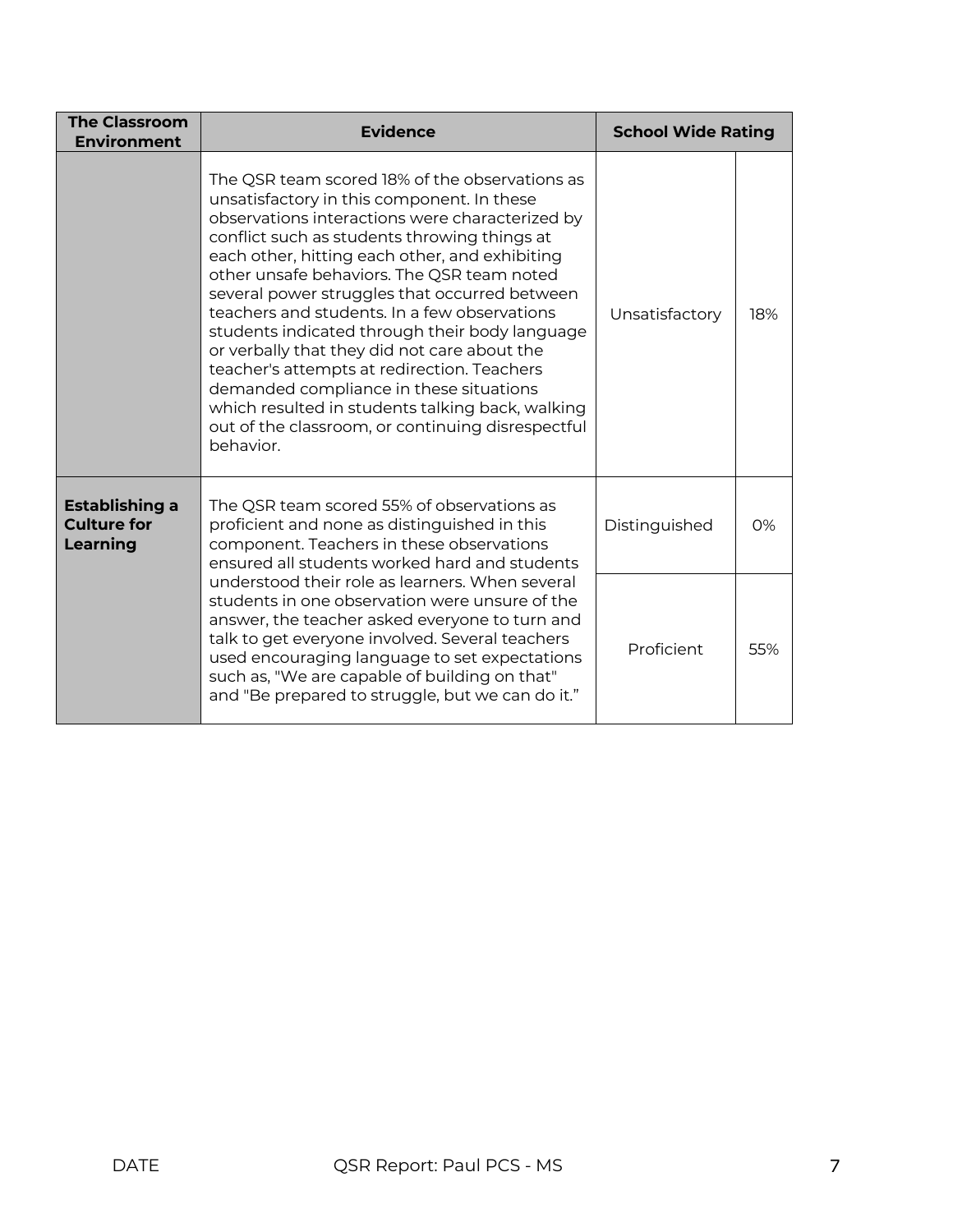| <b>The Classroom</b><br><b>Environment</b>              | <b>Evidence</b>                                                                                                                                                                                                                                                                                                                                                                                                                                                                                                                                                                                                                                                                                                    | <b>School Wide Rating</b> |     |
|---------------------------------------------------------|--------------------------------------------------------------------------------------------------------------------------------------------------------------------------------------------------------------------------------------------------------------------------------------------------------------------------------------------------------------------------------------------------------------------------------------------------------------------------------------------------------------------------------------------------------------------------------------------------------------------------------------------------------------------------------------------------------------------|---------------------------|-----|
|                                                         | The QSR team scored 18% of the observations as<br>unsatisfactory in this component. In these<br>observations interactions were characterized by<br>conflict such as students throwing things at<br>each other, hitting each other, and exhibiting<br>other unsafe behaviors. The QSR team noted<br>several power struggles that occurred between<br>teachers and students. In a few observations<br>students indicated through their body language<br>or verbally that they did not care about the<br>teacher's attempts at redirection. Teachers<br>demanded compliance in these situations<br>which resulted in students talking back, walking<br>out of the classroom, or continuing disrespectful<br>behavior. | Unsatisfactory            | 18% |
| <b>Establishing a</b><br><b>Culture for</b><br>Learning | The QSR team scored 55% of observations as<br>proficient and none as distinguished in this<br>component. Teachers in these observations<br>ensured all students worked hard and students                                                                                                                                                                                                                                                                                                                                                                                                                                                                                                                           | Distinguished             | 0%  |
|                                                         | understood their role as learners. When several<br>students in one observation were unsure of the<br>answer, the teacher asked everyone to turn and<br>talk to get everyone involved. Several teachers<br>used encouraging language to set expectations<br>such as, "We are capable of building on that"<br>and "Be prepared to struggle, but we can do it."                                                                                                                                                                                                                                                                                                                                                       | Proficient                | 55% |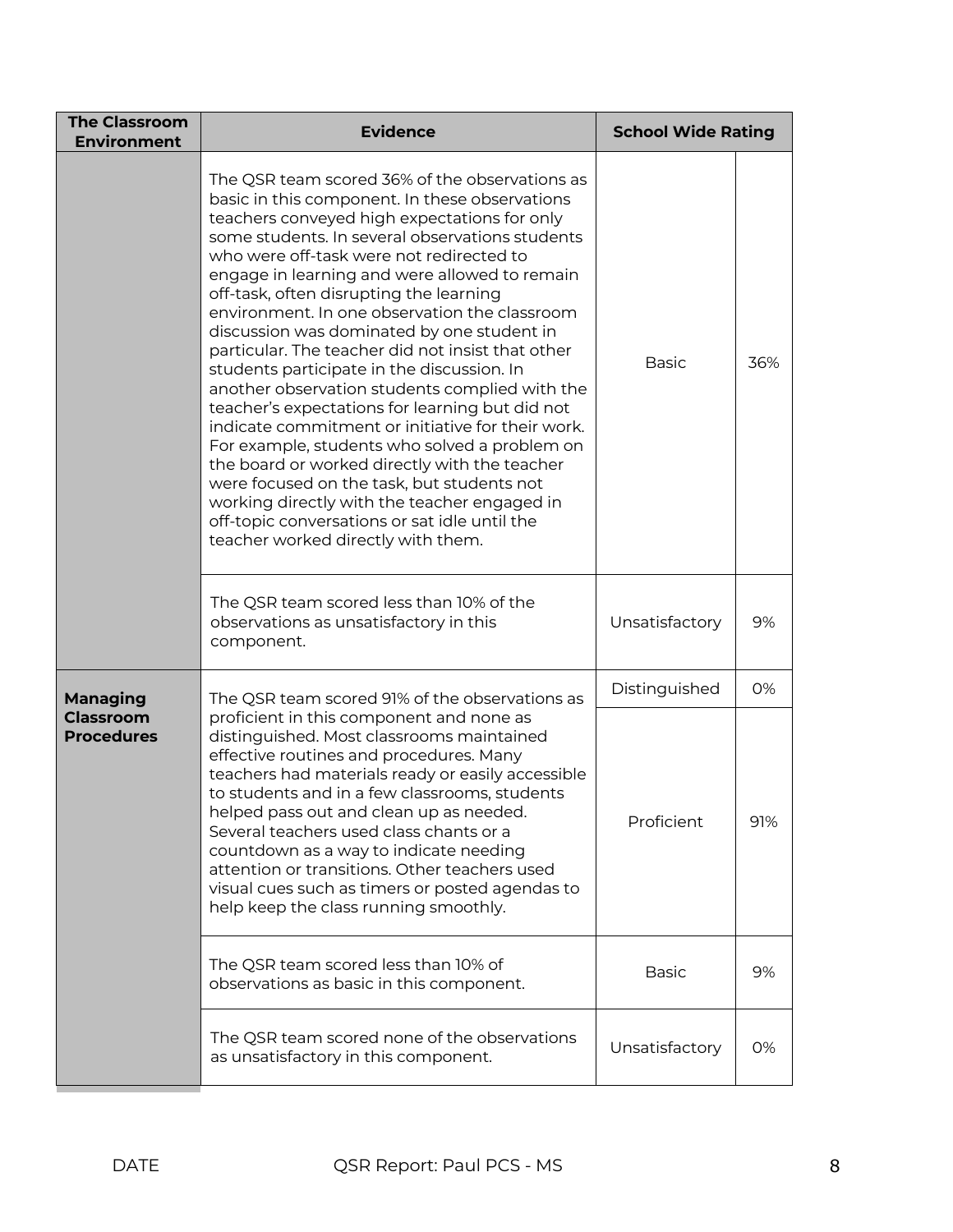| The QSR team scored 36% of the observations as<br>basic in this component. In these observations<br>teachers conveyed high expectations for only<br>some students. In several observations students<br>who were off-task were not redirected to<br>engage in learning and were allowed to remain<br>off-task, often disrupting the learning<br>environment. In one observation the classroom<br>discussion was dominated by one student in<br>particular. The teacher did not insist that other<br><b>Basic</b><br>36%<br>students participate in the discussion. In<br>another observation students complied with the<br>teacher's expectations for learning but did not<br>indicate commitment or initiative for their work.<br>For example, students who solved a problem on<br>the board or worked directly with the teacher<br>were focused on the task, but students not<br>working directly with the teacher engaged in<br>off-topic conversations or sat idle until the<br>teacher worked directly with them.<br>The QSR team scored less than 10% of the<br>observations as unsatisfactory in this<br>Unsatisfactory<br>9%<br>component.<br>Distinguished<br>0%<br>Managing<br>The QSR team scored 91% of the observations as<br><b>Classroom</b><br>proficient in this component and none as<br><b>Procedures</b><br>distinguished. Most classrooms maintained<br>effective routines and procedures. Many<br>teachers had materials ready or easily accessible<br>to students and in a few classrooms, students<br>helped pass out and clean up as needed.<br>Proficient<br>91%<br>Several teachers used class chants or a<br>countdown as a way to indicate needing<br>attention or transitions. Other teachers used<br>visual cues such as timers or posted agendas to<br>help keep the class running smoothly.<br>The QSR team scored less than 10% of<br><b>Basic</b><br>9%<br>observations as basic in this component. | <b>The Classroom</b><br><b>Environment</b> | <b>Evidence</b> | <b>School Wide Rating</b> |  |
|---------------------------------------------------------------------------------------------------------------------------------------------------------------------------------------------------------------------------------------------------------------------------------------------------------------------------------------------------------------------------------------------------------------------------------------------------------------------------------------------------------------------------------------------------------------------------------------------------------------------------------------------------------------------------------------------------------------------------------------------------------------------------------------------------------------------------------------------------------------------------------------------------------------------------------------------------------------------------------------------------------------------------------------------------------------------------------------------------------------------------------------------------------------------------------------------------------------------------------------------------------------------------------------------------------------------------------------------------------------------------------------------------------------------------------------------------------------------------------------------------------------------------------------------------------------------------------------------------------------------------------------------------------------------------------------------------------------------------------------------------------------------------------------------------------------------------------------------------------------------------------------------------------------------------------------|--------------------------------------------|-----------------|---------------------------|--|
|                                                                                                                                                                                                                                                                                                                                                                                                                                                                                                                                                                                                                                                                                                                                                                                                                                                                                                                                                                                                                                                                                                                                                                                                                                                                                                                                                                                                                                                                                                                                                                                                                                                                                                                                                                                                                                                                                                                                       |                                            |                 |                           |  |
|                                                                                                                                                                                                                                                                                                                                                                                                                                                                                                                                                                                                                                                                                                                                                                                                                                                                                                                                                                                                                                                                                                                                                                                                                                                                                                                                                                                                                                                                                                                                                                                                                                                                                                                                                                                                                                                                                                                                       |                                            |                 |                           |  |
|                                                                                                                                                                                                                                                                                                                                                                                                                                                                                                                                                                                                                                                                                                                                                                                                                                                                                                                                                                                                                                                                                                                                                                                                                                                                                                                                                                                                                                                                                                                                                                                                                                                                                                                                                                                                                                                                                                                                       |                                            |                 |                           |  |
|                                                                                                                                                                                                                                                                                                                                                                                                                                                                                                                                                                                                                                                                                                                                                                                                                                                                                                                                                                                                                                                                                                                                                                                                                                                                                                                                                                                                                                                                                                                                                                                                                                                                                                                                                                                                                                                                                                                                       |                                            |                 |                           |  |
|                                                                                                                                                                                                                                                                                                                                                                                                                                                                                                                                                                                                                                                                                                                                                                                                                                                                                                                                                                                                                                                                                                                                                                                                                                                                                                                                                                                                                                                                                                                                                                                                                                                                                                                                                                                                                                                                                                                                       |                                            |                 |                           |  |
| The QSR team scored none of the observations<br>Unsatisfactory<br>0%<br>as unsatisfactory in this component.                                                                                                                                                                                                                                                                                                                                                                                                                                                                                                                                                                                                                                                                                                                                                                                                                                                                                                                                                                                                                                                                                                                                                                                                                                                                                                                                                                                                                                                                                                                                                                                                                                                                                                                                                                                                                          |                                            |                 |                           |  |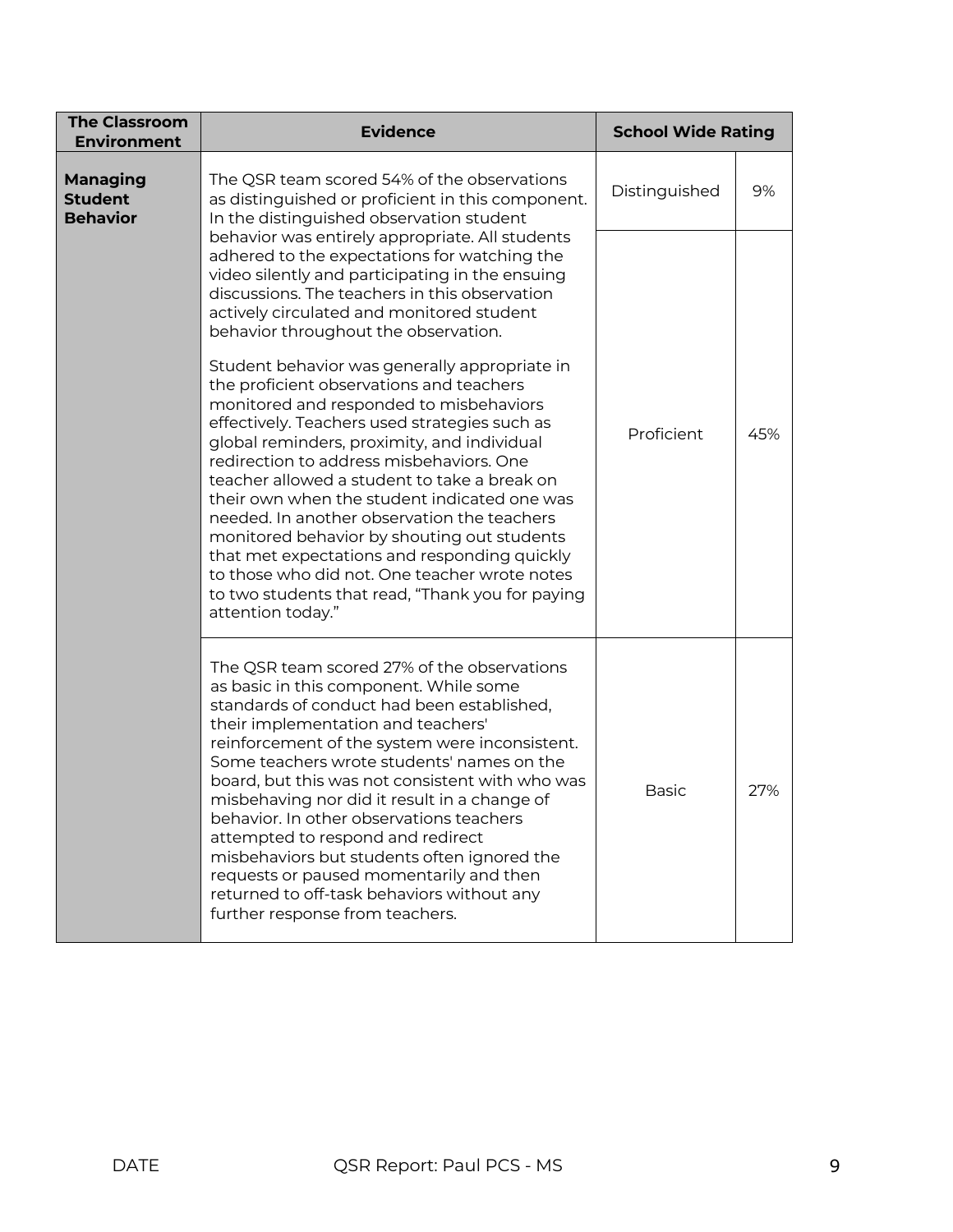| <b>The Classroom</b><br><b>Environment</b>           | <b>Evidence</b>                                                                                                                                                                                                                                                                                                                                                                                                                                                                                                                                                                                                                                          | <b>School Wide Rating</b> |     |
|------------------------------------------------------|----------------------------------------------------------------------------------------------------------------------------------------------------------------------------------------------------------------------------------------------------------------------------------------------------------------------------------------------------------------------------------------------------------------------------------------------------------------------------------------------------------------------------------------------------------------------------------------------------------------------------------------------------------|---------------------------|-----|
| <b>Managing</b><br><b>Student</b><br><b>Behavior</b> | The QSR team scored 54% of the observations<br>as distinguished or proficient in this component.<br>In the distinguished observation student                                                                                                                                                                                                                                                                                                                                                                                                                                                                                                             | Distinguished             | 9%  |
|                                                      | behavior was entirely appropriate. All students<br>adhered to the expectations for watching the<br>video silently and participating in the ensuing<br>discussions. The teachers in this observation<br>actively circulated and monitored student<br>behavior throughout the observation.                                                                                                                                                                                                                                                                                                                                                                 |                           |     |
|                                                      | Student behavior was generally appropriate in<br>the proficient observations and teachers<br>monitored and responded to misbehaviors<br>effectively. Teachers used strategies such as<br>global reminders, proximity, and individual<br>redirection to address misbehaviors. One<br>teacher allowed a student to take a break on<br>their own when the student indicated one was<br>needed. In another observation the teachers<br>monitored behavior by shouting out students<br>that met expectations and responding quickly<br>to those who did not. One teacher wrote notes<br>to two students that read, "Thank you for paying<br>attention today." | Proficient                | 45% |
|                                                      | The QSR team scored 27% of the observations<br>as basic in this component. While some<br>standards of conduct had been established,<br>their implementation and teachers'<br>reinforcement of the system were inconsistent.<br>Some teachers wrote students' names on the<br>board, but this was not consistent with who was<br>misbehaving nor did it result in a change of<br>behavior. In other observations teachers<br>attempted to respond and redirect<br>misbehaviors but students often ignored the<br>requests or paused momentarily and then<br>returned to off-task behaviors without any<br>further response from teachers.                 | <b>Basic</b>              | 27% |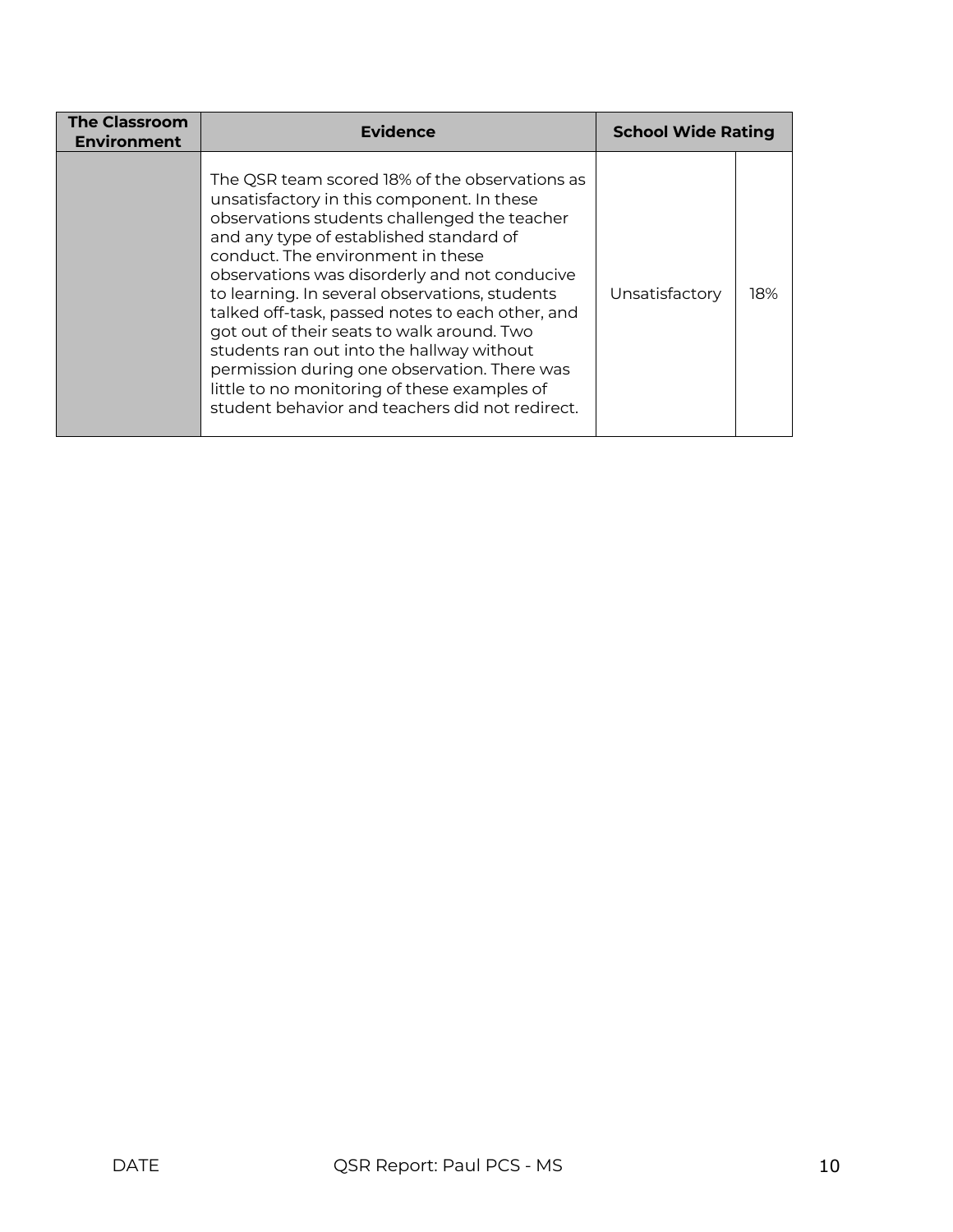| <b>The Classroom</b><br><b>Environment</b> | Evidence                                                                                                                                                                                                                                                                                                                                                                                                                                                                                                                                                                                                                          | <b>School Wide Rating</b> |     |
|--------------------------------------------|-----------------------------------------------------------------------------------------------------------------------------------------------------------------------------------------------------------------------------------------------------------------------------------------------------------------------------------------------------------------------------------------------------------------------------------------------------------------------------------------------------------------------------------------------------------------------------------------------------------------------------------|---------------------------|-----|
|                                            | The QSR team scored 18% of the observations as<br>unsatisfactory in this component. In these<br>observations students challenged the teacher<br>and any type of established standard of<br>conduct. The environment in these<br>observations was disorderly and not conducive<br>to learning. In several observations, students<br>talked off-task, passed notes to each other, and<br>got out of their seats to walk around. Two<br>students ran out into the hallway without<br>permission during one observation. There was<br>little to no monitoring of these examples of<br>student behavior and teachers did not redirect. | Unsatisfactory            | 18% |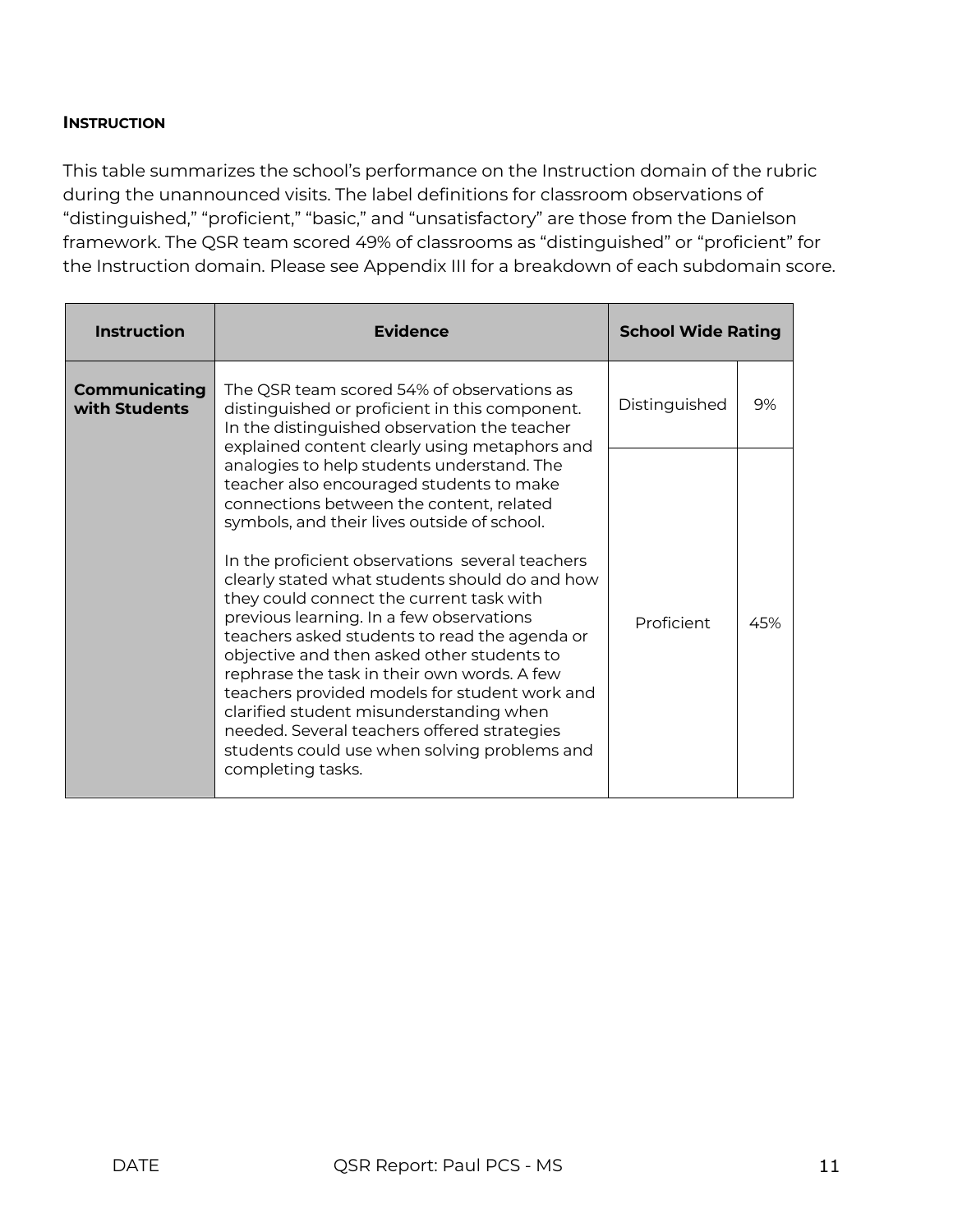#### **INSTRUCTION**

This table summarizes the school's performance on the Instruction domain of the rubric during the unannounced visits. The label definitions for classroom observations of "distinguished," "proficient," "basic," and "unsatisfactory" are those from the Danielson framework. The QSR team scored 49% of classrooms as "distinguished" or "proficient" for the Instruction domain. Please see Appendix III for a breakdown of each subdomain score.

| <b>Instruction</b>                    | <b>Evidence</b>                                                                                                                                                                                                                                                                                                                                                                                                                                                                                                                                                                                                                                                                                                                                                                               | <b>School Wide Rating</b> |     |
|---------------------------------------|-----------------------------------------------------------------------------------------------------------------------------------------------------------------------------------------------------------------------------------------------------------------------------------------------------------------------------------------------------------------------------------------------------------------------------------------------------------------------------------------------------------------------------------------------------------------------------------------------------------------------------------------------------------------------------------------------------------------------------------------------------------------------------------------------|---------------------------|-----|
| <b>Communicating</b><br>with Students | The QSR team scored 54% of observations as<br>distinguished or proficient in this component.<br>In the distinguished observation the teacher                                                                                                                                                                                                                                                                                                                                                                                                                                                                                                                                                                                                                                                  |                           | 9%  |
|                                       | explained content clearly using metaphors and<br>analogies to help students understand. The<br>teacher also encouraged students to make<br>connections between the content, related<br>symbols, and their lives outside of school.<br>In the proficient observations several teachers<br>clearly stated what students should do and how<br>they could connect the current task with<br>previous learning. In a few observations<br>teachers asked students to read the agenda or<br>objective and then asked other students to<br>rephrase the task in their own words. A few<br>teachers provided models for student work and<br>clarified student misunderstanding when<br>needed. Several teachers offered strategies<br>students could use when solving problems and<br>completing tasks. | Proficient                | 45% |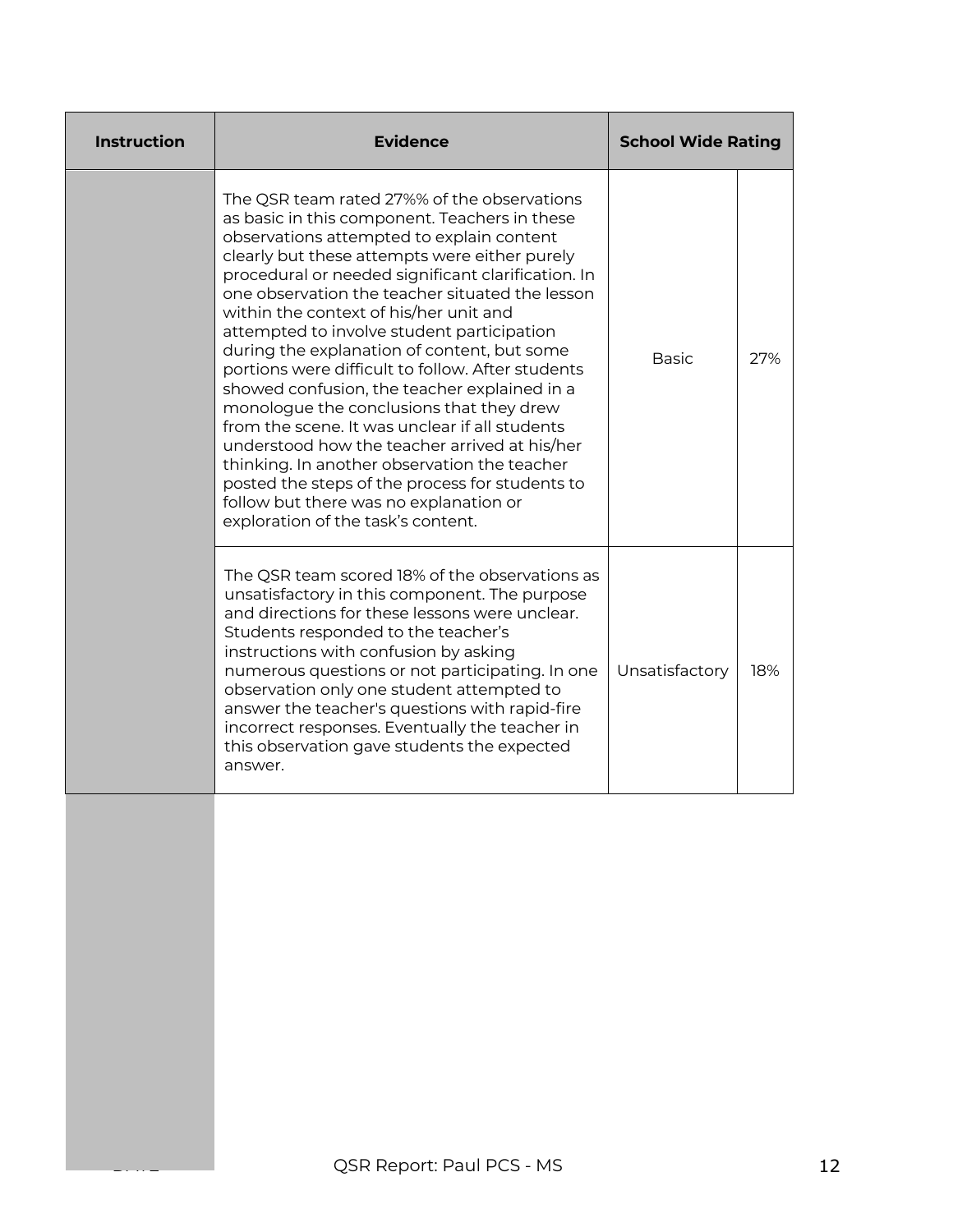| <b>Instruction</b> | <b>Evidence</b>                                                                                                                                                                                                                                                                                                                                                                                                                                                                                                                                                                                                                                                                                                                                                                                                                                                                   | <b>School Wide Rating</b> |     |
|--------------------|-----------------------------------------------------------------------------------------------------------------------------------------------------------------------------------------------------------------------------------------------------------------------------------------------------------------------------------------------------------------------------------------------------------------------------------------------------------------------------------------------------------------------------------------------------------------------------------------------------------------------------------------------------------------------------------------------------------------------------------------------------------------------------------------------------------------------------------------------------------------------------------|---------------------------|-----|
|                    | The QSR team rated 27%% of the observations<br>as basic in this component. Teachers in these<br>observations attempted to explain content<br>clearly but these attempts were either purely<br>procedural or needed significant clarification. In<br>one observation the teacher situated the lesson<br>within the context of his/her unit and<br>attempted to involve student participation<br>during the explanation of content, but some<br>portions were difficult to follow. After students<br>showed confusion, the teacher explained in a<br>monologue the conclusions that they drew<br>from the scene. It was unclear if all students<br>understood how the teacher arrived at his/her<br>thinking. In another observation the teacher<br>posted the steps of the process for students to<br>follow but there was no explanation or<br>exploration of the task's content. | <b>Basic</b>              | 27% |
|                    | The QSR team scored 18% of the observations as<br>unsatisfactory in this component. The purpose<br>and directions for these lessons were unclear.<br>Students responded to the teacher's<br>instructions with confusion by asking<br>numerous questions or not participating. In one<br>observation only one student attempted to<br>answer the teacher's questions with rapid-fire<br>incorrect responses. Eventually the teacher in<br>this observation gave students the expected<br>answer.                                                                                                                                                                                                                                                                                                                                                                                   | Unsatisfactory            | 18% |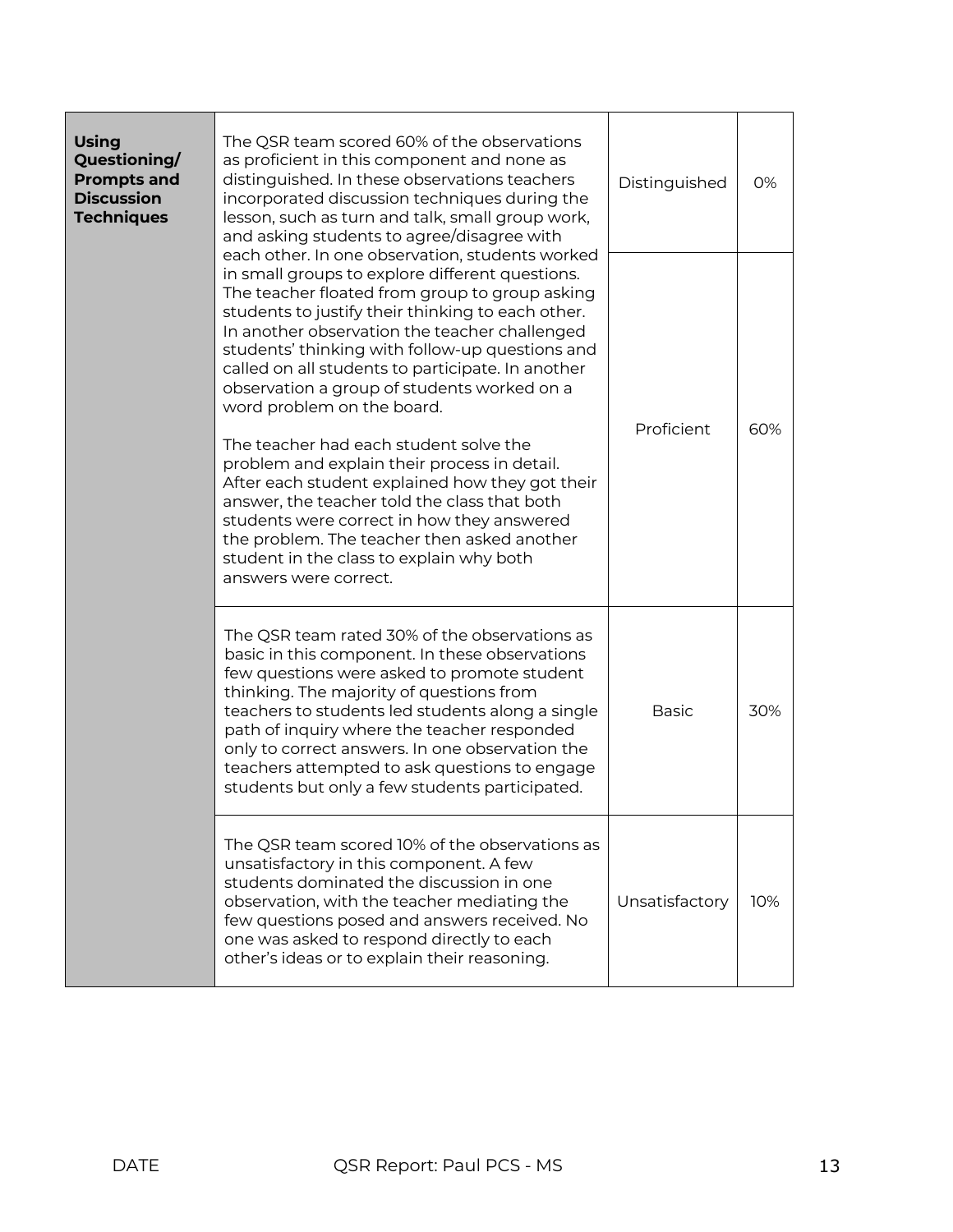| <b>Using</b><br>Questioning/<br><b>Prompts and</b><br><b>Discussion</b><br><b>Techniques</b>                                                                                                                                                                                                                                                                                                                                                    | The QSR team scored 60% of the observations<br>as proficient in this component and none as<br>distinguished. In these observations teachers<br>incorporated discussion techniques during the<br>lesson, such as turn and talk, small group work,<br>and asking students to agree/disagree with                                                                                                                                                      | Distinguished  | 0%  |
|-------------------------------------------------------------------------------------------------------------------------------------------------------------------------------------------------------------------------------------------------------------------------------------------------------------------------------------------------------------------------------------------------------------------------------------------------|-----------------------------------------------------------------------------------------------------------------------------------------------------------------------------------------------------------------------------------------------------------------------------------------------------------------------------------------------------------------------------------------------------------------------------------------------------|----------------|-----|
| each other. In one observation, students worked<br>in small groups to explore different questions.<br>The teacher floated from group to group asking<br>students to justify their thinking to each other.<br>In another observation the teacher challenged<br>students' thinking with follow-up questions and<br>called on all students to participate. In another<br>observation a group of students worked on a<br>word problem on the board. | Proficient                                                                                                                                                                                                                                                                                                                                                                                                                                          |                |     |
|                                                                                                                                                                                                                                                                                                                                                                                                                                                 | The teacher had each student solve the<br>problem and explain their process in detail.<br>After each student explained how they got their<br>answer, the teacher told the class that both<br>students were correct in how they answered<br>the problem. The teacher then asked another<br>student in the class to explain why both<br>answers were correct.                                                                                         |                | 60% |
|                                                                                                                                                                                                                                                                                                                                                                                                                                                 | The QSR team rated 30% of the observations as<br>basic in this component. In these observations<br>few questions were asked to promote student<br>thinking. The majority of questions from<br>teachers to students led students along a single<br>path of inquiry where the teacher responded<br>only to correct answers. In one observation the<br>teachers attempted to ask questions to engage<br>students but only a few students participated. | <b>Basic</b>   | 30% |
|                                                                                                                                                                                                                                                                                                                                                                                                                                                 | The QSR team scored 10% of the observations as<br>unsatisfactory in this component. A few<br>students dominated the discussion in one<br>observation, with the teacher mediating the<br>few questions posed and answers received. No<br>one was asked to respond directly to each<br>other's ideas or to explain their reasoning.                                                                                                                   | Unsatisfactory | 10% |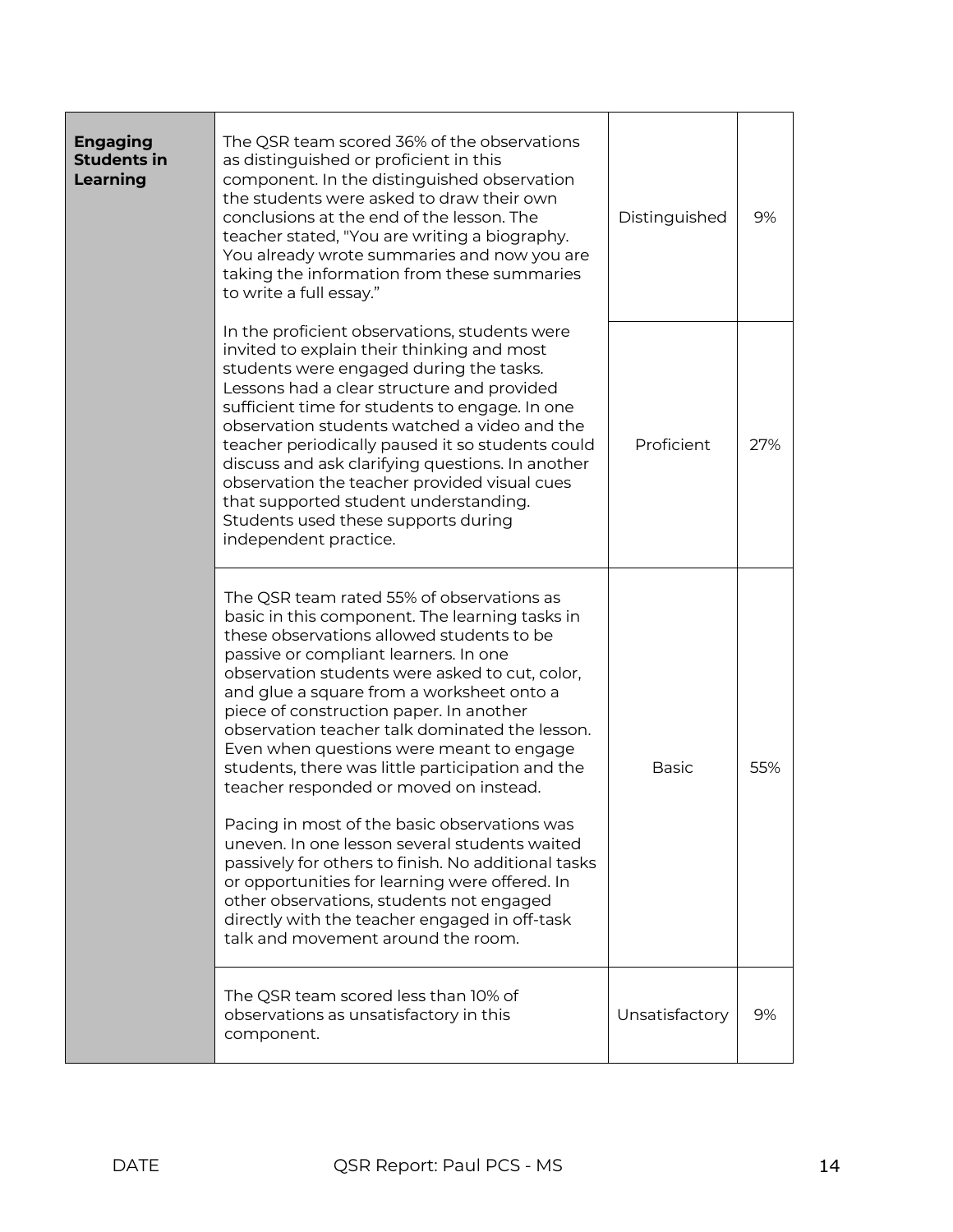| <b>Engaging</b><br><b>Students in</b><br>Learning | The QSR team scored 36% of the observations<br>as distinguished or proficient in this<br>component. In the distinguished observation<br>the students were asked to draw their own<br>conclusions at the end of the lesson. The<br>teacher stated, "You are writing a biography.<br>You already wrote summaries and now you are<br>taking the information from these summaries<br>to write a full essay."                                                                                                                                                                                                                                                                                                                                                                                                                                                             |                |     |  |
|---------------------------------------------------|----------------------------------------------------------------------------------------------------------------------------------------------------------------------------------------------------------------------------------------------------------------------------------------------------------------------------------------------------------------------------------------------------------------------------------------------------------------------------------------------------------------------------------------------------------------------------------------------------------------------------------------------------------------------------------------------------------------------------------------------------------------------------------------------------------------------------------------------------------------------|----------------|-----|--|
|                                                   | Proficient                                                                                                                                                                                                                                                                                                                                                                                                                                                                                                                                                                                                                                                                                                                                                                                                                                                           | 27%            |     |  |
|                                                   | The QSR team rated 55% of observations as<br>basic in this component. The learning tasks in<br>these observations allowed students to be<br>passive or compliant learners. In one<br>observation students were asked to cut, color,<br>and glue a square from a worksheet onto a<br>piece of construction paper. In another<br>observation teacher talk dominated the lesson.<br>Even when questions were meant to engage<br>students, there was little participation and the<br>teacher responded or moved on instead.<br>Pacing in most of the basic observations was<br>uneven. In one lesson several students waited<br>passively for others to finish. No additional tasks<br>or opportunities for learning were offered. In<br>other observations, students not engaged<br>directly with the teacher engaged in off-task<br>talk and movement around the room. |                | 55% |  |
|                                                   | The QSR team scored less than 10% of<br>observations as unsatisfactory in this<br>component.                                                                                                                                                                                                                                                                                                                                                                                                                                                                                                                                                                                                                                                                                                                                                                         | Unsatisfactory | 9%  |  |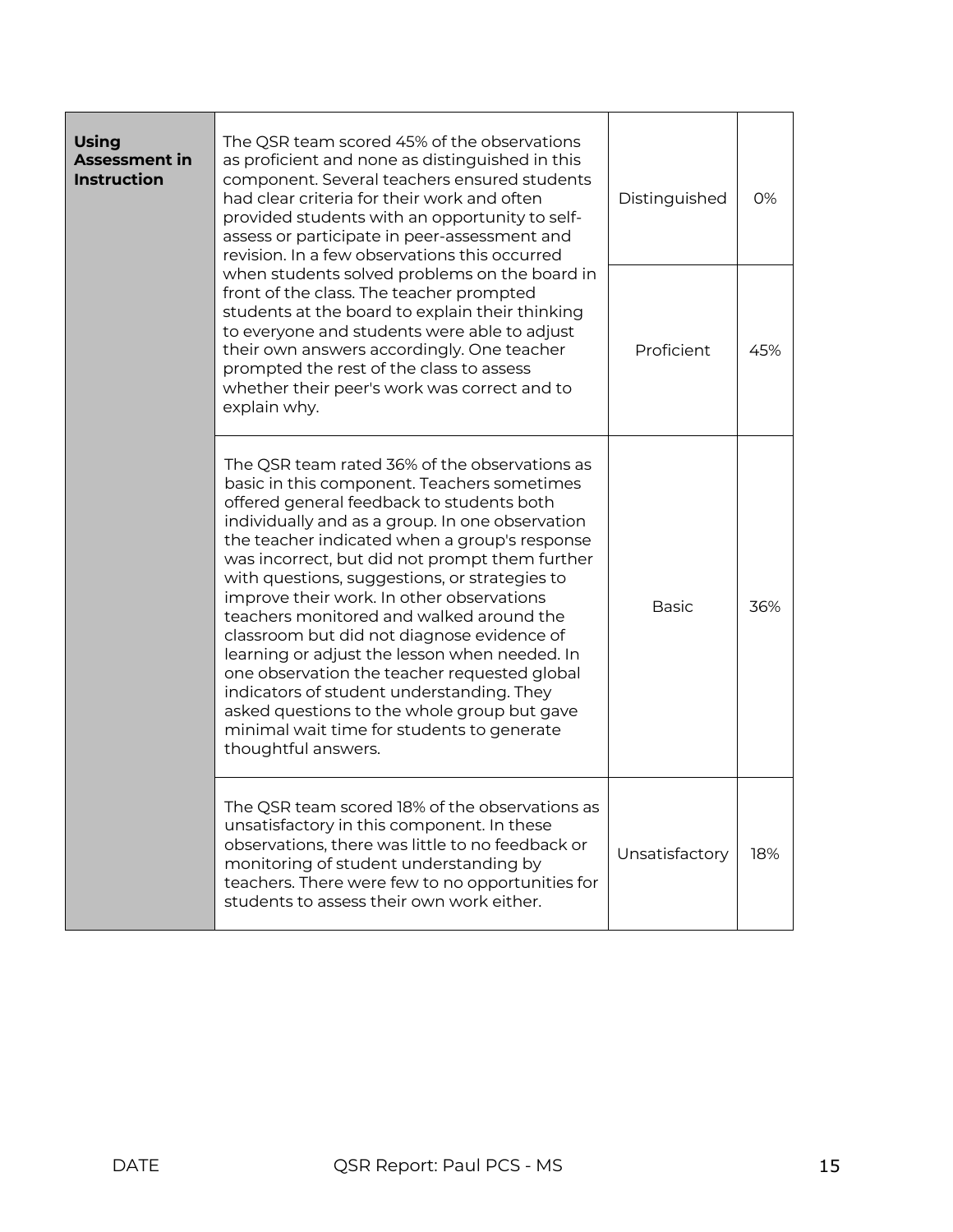| <b>Using</b><br><b>Assessment in</b><br><b>Instruction</b> | The QSR team scored 45% of the observations<br>as proficient and none as distinguished in this<br>component. Several teachers ensured students<br>had clear criteria for their work and often<br>Distinguished<br>provided students with an opportunity to self-<br>assess or participate in peer-assessment and<br>revision. In a few observations this occurred                                                                                                                                                                                                                                                                                                                                                                                         |                | 0%  |
|------------------------------------------------------------|-----------------------------------------------------------------------------------------------------------------------------------------------------------------------------------------------------------------------------------------------------------------------------------------------------------------------------------------------------------------------------------------------------------------------------------------------------------------------------------------------------------------------------------------------------------------------------------------------------------------------------------------------------------------------------------------------------------------------------------------------------------|----------------|-----|
|                                                            | when students solved problems on the board in<br>front of the class. The teacher prompted<br>students at the board to explain their thinking<br>to everyone and students were able to adjust<br>their own answers accordingly. One teacher<br>prompted the rest of the class to assess<br>whether their peer's work was correct and to<br>explain why.                                                                                                                                                                                                                                                                                                                                                                                                    | Proficient     | 45% |
|                                                            | The QSR team rated 36% of the observations as<br>basic in this component. Teachers sometimes<br>offered general feedback to students both<br>individually and as a group. In one observation<br>the teacher indicated when a group's response<br>was incorrect, but did not prompt them further<br>with questions, suggestions, or strategies to<br>improve their work. In other observations<br>teachers monitored and walked around the<br>classroom but did not diagnose evidence of<br>learning or adjust the lesson when needed. In<br>one observation the teacher requested global<br>indicators of student understanding. They<br>asked questions to the whole group but gave<br>minimal wait time for students to generate<br>thoughtful answers. | <b>Basic</b>   | 36% |
|                                                            | The QSR team scored 18% of the observations as<br>unsatisfactory in this component. In these<br>observations, there was little to no feedback or<br>monitoring of student understanding by<br>teachers. There were few to no opportunities for<br>students to assess their own work either.                                                                                                                                                                                                                                                                                                                                                                                                                                                               | Unsatisfactory | 18% |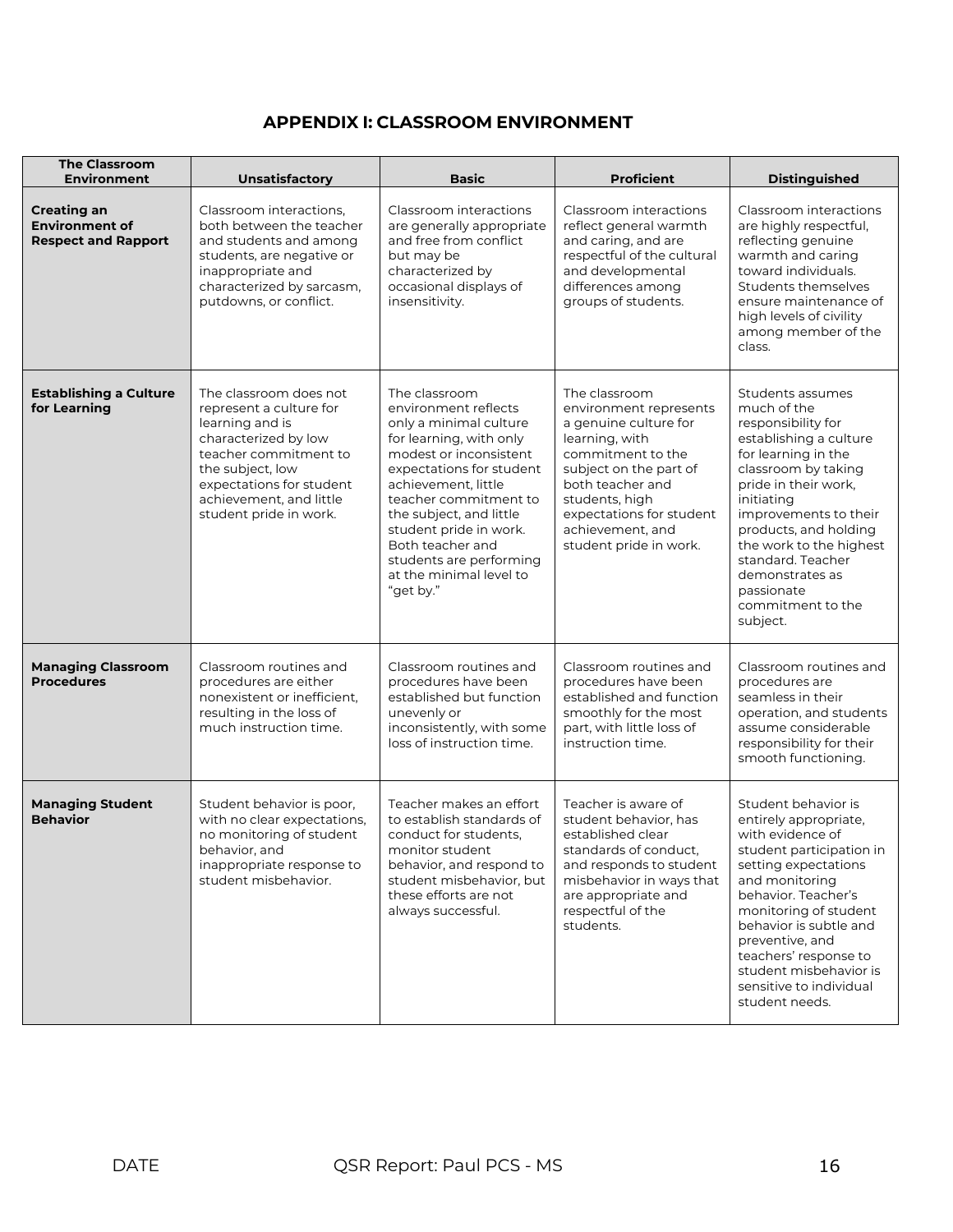## **APPENDIX I: CLASSROOM ENVIRONMENT**

| <b>The Classroom</b><br><b>Environment</b>                                | Unsatisfactory                                                                                                                                                                                                             | <b>Basic</b>                                                                                                                                                                                                                                                                                                                                 | <b>Proficient</b>                                                                                                                                                                                                                                 | <b>Distinguished</b>                                                                                                                                                                                                                                                                                                                    |
|---------------------------------------------------------------------------|----------------------------------------------------------------------------------------------------------------------------------------------------------------------------------------------------------------------------|----------------------------------------------------------------------------------------------------------------------------------------------------------------------------------------------------------------------------------------------------------------------------------------------------------------------------------------------|---------------------------------------------------------------------------------------------------------------------------------------------------------------------------------------------------------------------------------------------------|-----------------------------------------------------------------------------------------------------------------------------------------------------------------------------------------------------------------------------------------------------------------------------------------------------------------------------------------|
| <b>Creating an</b><br><b>Environment of</b><br><b>Respect and Rapport</b> | Classroom interactions,<br>both between the teacher<br>and students and among<br>students, are negative or<br>inappropriate and<br>characterized by sarcasm,<br>putdowns, or conflict.                                     | Classroom interactions<br>are generally appropriate<br>and free from conflict<br>but may be<br>characterized by<br>occasional displays of<br>insensitivity.                                                                                                                                                                                  | Classroom interactions<br>reflect general warmth<br>and caring, and are<br>respectful of the cultural<br>and developmental<br>differences among<br>groups of students.                                                                            | Classroom interactions<br>are highly respectful,<br>reflecting genuine<br>warmth and caring<br>toward individuals.<br>Students themselves<br>ensure maintenance of<br>high levels of civility<br>among member of the<br>class.                                                                                                          |
| <b>Establishing a Culture</b><br>for Learning                             | The classroom does not<br>represent a culture for<br>learning and is<br>characterized by low<br>teacher commitment to<br>the subject, low<br>expectations for student<br>achievement, and little<br>student pride in work. | The classroom<br>environment reflects<br>only a minimal culture<br>for learning, with only<br>modest or inconsistent<br>expectations for student<br>achievement, little<br>teacher commitment to<br>the subject, and little<br>student pride in work.<br>Both teacher and<br>students are performing<br>at the minimal level to<br>"get by." | The classroom<br>environment represents<br>a genuine culture for<br>learning, with<br>commitment to the<br>subject on the part of<br>both teacher and<br>students, high<br>expectations for student<br>achievement, and<br>student pride in work. | Students assumes<br>much of the<br>responsibility for<br>establishing a culture<br>for learning in the<br>classroom by taking<br>pride in their work.<br>initiating<br>improvements to their<br>products, and holding<br>the work to the highest<br>standard. Teacher<br>demonstrates as<br>passionate<br>commitment to the<br>subject. |
| <b>Managing Classroom</b><br><b>Procedures</b>                            | Classroom routines and<br>procedures are either<br>nonexistent or inefficient,<br>resulting in the loss of<br>much instruction time.                                                                                       | Classroom routines and<br>procedures have been<br>established but function<br>unevenly or<br>inconsistently, with some<br>loss of instruction time.                                                                                                                                                                                          | Classroom routines and<br>procedures have been<br>established and function<br>smoothly for the most<br>part, with little loss of<br>instruction time.                                                                                             | Classroom routines and<br>procedures are<br>seamless in their<br>operation, and students<br>assume considerable<br>responsibility for their<br>smooth functioning.                                                                                                                                                                      |
| <b>Managing Student</b><br><b>Behavior</b>                                | Student behavior is poor,<br>with no clear expectations,<br>no monitoring of student<br>behavior, and<br>inappropriate response to<br>student misbehavior.                                                                 | Teacher makes an effort<br>to establish standards of<br>conduct for students,<br>monitor student<br>behavior, and respond to<br>student misbehavior, but<br>these efforts are not<br>always successful.                                                                                                                                      | Teacher is aware of<br>student behavior, has<br>established clear<br>standards of conduct,<br>and responds to student<br>misbehavior in ways that<br>are appropriate and<br>respectful of the<br>students.                                        | Student behavior is<br>entirely appropriate,<br>with evidence of<br>student participation in<br>setting expectations<br>and monitoring<br>behavior. Teacher's<br>monitoring of student<br>behavior is subtle and<br>preventive, and<br>teachers' response to<br>student misbehavior is<br>sensitive to individual<br>student needs.     |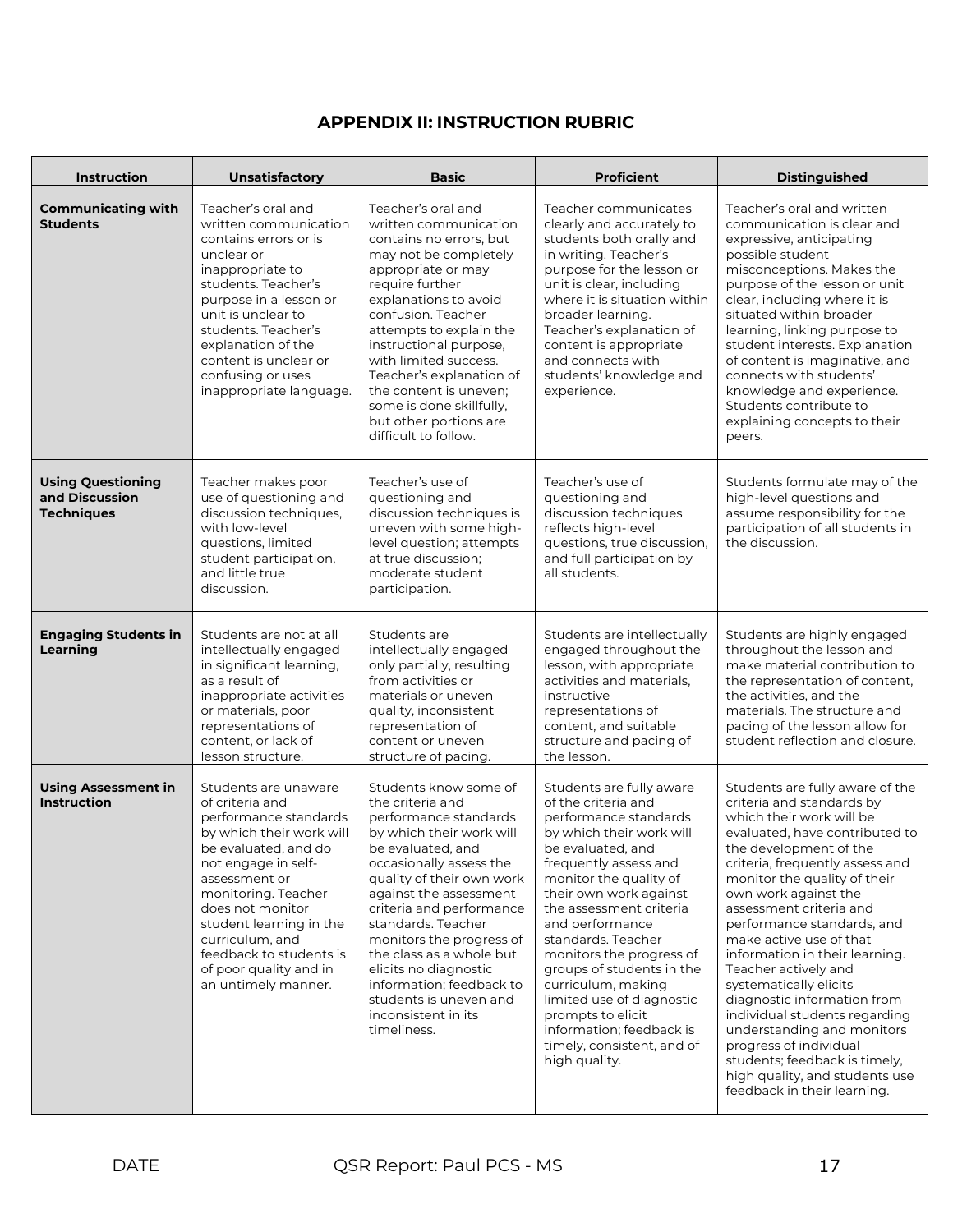# **APPENDIX II: INSTRUCTION RUBRIC**

| Instruction                                                     | <b>Unsatisfactory</b>                                                                                                                                                                                                                                                                                                             | <b>Basic</b>                                                                                                                                                                                                                                                                                                                                                                                                                         | <b>Proficient</b>                                                                                                                                                                                                                                                                                                                                                                                                                                                                      | <b>Distinguished</b>                                                                                                                                                                                                                                                                                                                                                                                                                                                                                                                                                                                                                              |
|-----------------------------------------------------------------|-----------------------------------------------------------------------------------------------------------------------------------------------------------------------------------------------------------------------------------------------------------------------------------------------------------------------------------|--------------------------------------------------------------------------------------------------------------------------------------------------------------------------------------------------------------------------------------------------------------------------------------------------------------------------------------------------------------------------------------------------------------------------------------|----------------------------------------------------------------------------------------------------------------------------------------------------------------------------------------------------------------------------------------------------------------------------------------------------------------------------------------------------------------------------------------------------------------------------------------------------------------------------------------|---------------------------------------------------------------------------------------------------------------------------------------------------------------------------------------------------------------------------------------------------------------------------------------------------------------------------------------------------------------------------------------------------------------------------------------------------------------------------------------------------------------------------------------------------------------------------------------------------------------------------------------------------|
| <b>Communicating with</b><br><b>Students</b>                    | Teacher's oral and<br>written communication<br>contains errors or is<br>unclear or<br>inappropriate to<br>students. Teacher's<br>purpose in a lesson or<br>unit is unclear to<br>students. Teacher's<br>explanation of the<br>content is unclear or<br>confusing or uses<br>inappropriate language.                               | Teacher's oral and<br>written communication<br>contains no errors, but<br>may not be completely<br>appropriate or may<br>require further<br>explanations to avoid<br>confusion. Teacher<br>attempts to explain the<br>instructional purpose,<br>with limited success.<br>Teacher's explanation of<br>the content is uneven;<br>some is done skillfully,<br>but other portions are<br>difficult to follow.                            | Teacher communicates<br>clearly and accurately to<br>students both orally and<br>in writing. Teacher's<br>purpose for the lesson or<br>unit is clear, including<br>where it is situation within<br>broader learning.<br>Teacher's explanation of<br>content is appropriate<br>and connects with<br>students' knowledge and<br>experience.                                                                                                                                              | Teacher's oral and written<br>communication is clear and<br>expressive, anticipating<br>possible student<br>misconceptions. Makes the<br>purpose of the lesson or unit<br>clear, including where it is<br>situated within broader<br>learning, linking purpose to<br>student interests. Explanation<br>of content is imaginative, and<br>connects with students'<br>knowledge and experience.<br>Students contribute to<br>explaining concepts to their<br>peers.                                                                                                                                                                                 |
| <b>Using Questioning</b><br>and Discussion<br><b>Techniques</b> | Teacher makes poor<br>use of questioning and<br>discussion techniques,<br>with low-level<br>questions, limited<br>student participation,<br>and little true<br>discussion.                                                                                                                                                        | Teacher's use of<br>questioning and<br>discussion techniques is<br>uneven with some high-<br>level question; attempts<br>at true discussion:<br>moderate student<br>participation.                                                                                                                                                                                                                                                   | Teacher's use of<br>questioning and<br>discussion techniques<br>reflects high-level<br>questions, true discussion,<br>and full participation by<br>all students.                                                                                                                                                                                                                                                                                                                       | Students formulate may of the<br>high-level questions and<br>assume responsibility for the<br>participation of all students in<br>the discussion.                                                                                                                                                                                                                                                                                                                                                                                                                                                                                                 |
| <b>Engaging Students in</b><br>Learning                         | Students are not at all<br>intellectually engaged<br>in significant learning,<br>as a result of<br>inappropriate activities<br>or materials, poor<br>representations of<br>content, or lack of<br>lesson structure.                                                                                                               | Students are<br>intellectually engaged<br>only partially, resulting<br>from activities or<br>materials or uneven<br>quality, inconsistent<br>representation of<br>content or uneven<br>structure of pacing.                                                                                                                                                                                                                          | Students are intellectually<br>engaged throughout the<br>lesson, with appropriate<br>activities and materials,<br>instructive<br>representations of<br>content, and suitable<br>structure and pacing of<br>the lesson.                                                                                                                                                                                                                                                                 | Students are highly engaged<br>throughout the lesson and<br>make material contribution to<br>the representation of content,<br>the activities, and the<br>materials. The structure and<br>pacing of the lesson allow for<br>student reflection and closure.                                                                                                                                                                                                                                                                                                                                                                                       |
| <b>Using Assessment in</b><br><b>Instruction</b>                | Students are unaware<br>of criteria and<br>performance standards<br>by which their work will<br>be evaluated, and do<br>not engage in self-<br>assessment or<br>monitoring. Teacher<br>does not monitor<br>student learning in the<br>curriculum, and<br>feedback to students is<br>of poor quality and in<br>an untimely manner. | Students know some of<br>the criteria and<br>performance standards<br>by which their work will<br>be evaluated, and<br>occasionally assess the<br>quality of their own work<br>against the assessment<br>criteria and performance<br>standards. Teacher<br>monitors the progress of<br>the class as a whole but<br>elicits no diagnostic<br>information; feedback to<br>students is uneven and<br>inconsistent in its<br>timeliness. | Students are fully aware<br>of the criteria and<br>performance standards<br>by which their work will<br>be evaluated, and<br>frequently assess and<br>monitor the quality of<br>their own work against<br>the assessment criteria<br>and performance<br>standards. Teacher<br>monitors the progress of<br>groups of students in the<br>curriculum, making<br>limited use of diagnostic<br>prompts to elicit<br>information; feedback is<br>timely, consistent, and of<br>high quality. | Students are fully aware of the<br>criteria and standards by<br>which their work will be<br>evaluated, have contributed to<br>the development of the<br>criteria, frequently assess and<br>monitor the quality of their<br>own work against the<br>assessment criteria and<br>performance standards, and<br>make active use of that<br>information in their learning.<br>Teacher actively and<br>systematically elicits<br>diagnostic information from<br>individual students regarding<br>understanding and monitors<br>progress of individual<br>students; feedback is timely,<br>high quality, and students use<br>feedback in their learning. |